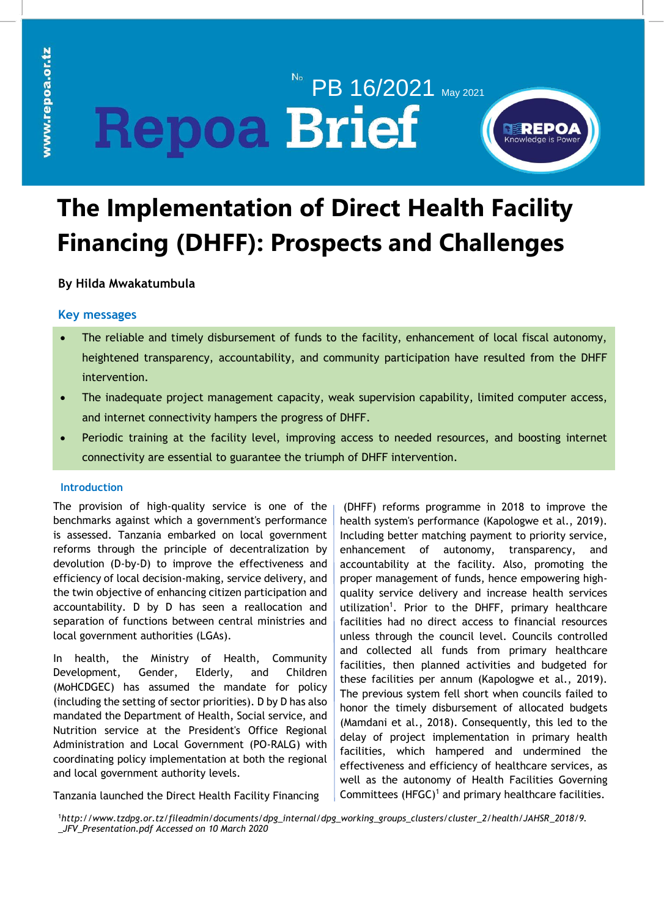# PB 16/2021 May 2021 **Repoa Brief**



# **The Implementation of Direct Health Facility Financing (DHFF): Prospects and Challenges**

**By Hilda Mwakatumbula**

# **Key messages**

- The reliable and timely disbursement of funds to the facility, enhancement of local fiscal autonomy, heightened transparency, accountability, and community participation have resulted from the DHFF intervention.
- The inadequate project management capacity, weak supervision capability, limited computer access, and internet connectivity hampers the progress of DHFF.
- Periodic training at the facility level, improving access to needed resources, and boosting internet connectivity are essential to guarantee the triumph of DHFF intervention.

# **Introduction**

The provision of high-quality service is one of the benchmarks against which a government's performance is assessed. Tanzania embarked on local government reforms through the principle of decentralization by devolution (D-by-D) to improve the effectiveness and efficiency of local decision-making, service delivery, and the twin objective of enhancing citizen participation and accountability. D by D has seen a reallocation and separation of functions between central ministries and local government authorities (LGAs).

In health, the Ministry of Health, Community Development, Gender, Elderly, and Children (MoHCDGEC) has assumed the mandate for policy (including the setting of sector priorities). D by D has also mandated the Department of Health, Social service, and Nutrition service at the President's Office Regional Administration and Local Government (PO-RALG) with coordinating policy implementation at both the regional and local government authority levels.

Tanzania launched the Direct Health Facility Financing

(DHFF) reforms programme in 2018 to improve the health system's performance (Kapologwe et al., 2019). Including better matching payment to priority service, enhancement of autonomy, transparency, and accountability at the facility. Also, promoting the proper management of funds, hence empowering highquality service delivery and increase health services utilization<sup>1</sup>. Prior to the DHFF, primary healthcare facilities had no direct access to financial resources unless through the council level. Councils controlled and collected all funds from primary healthcare facilities, then planned activities and budgeted for these facilities per annum (Kapologwe et al., 2019). The previous system fell short when councils failed to honor the timely disbursement of allocated budgets (Mamdani et al., 2018). Consequently, this led to the delay of project implementation in primary health facilities, which hampered and undermined the effectiveness and efficiency of healthcare services, as well as the autonomy of Health Facilities Governing Committees  $(HFGC)^1$  and primary healthcare facilities.

<sup>1</sup>*[http://www.tzdpg.or.tz/fileadmin/documents/dpg\\_internal/dpg\\_working\\_groups\\_clusters/cluster\\_2/health/JAHSR\\_2018/9.](http://www.tzdpg.or.tz/fileadmin/documents/dpg_internal/dpg_working_groups_clusters/cluster_2/health/JAHSR_2018/9._JFV_Presentation.pdf) [\\_JFV\\_Presentation.pdf](http://www.tzdpg.or.tz/fileadmin/documents/dpg_internal/dpg_working_groups_clusters/cluster_2/health/JAHSR_2018/9._JFV_Presentation.pdf) Accessed on 10 March 2020*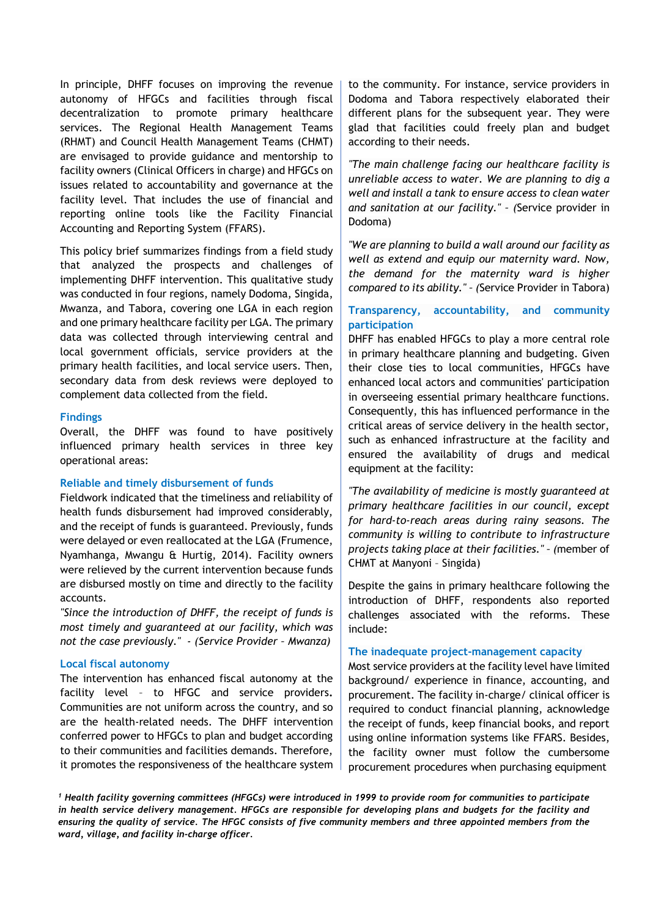In principle, DHFF focuses on improving the revenue autonomy of HFGCs and facilities through fiscal decentralization to promote primary healthcare services. The Regional Health Management Teams (RHMT) and Council Health Management Teams (CHMT) are envisaged to provide guidance and mentorship to facility owners (Clinical Officers in charge) and HFGCs on issues related to accountability and governance at the facility level. That includes the use of financial and reporting online tools like the Facility Financial Accounting and Reporting System (FFARS).

This policy brief summarizes findings from a field study that analyzed the prospects and challenges of implementing DHFF intervention. This qualitative study was conducted in four regions, namely Dodoma, Singida, Mwanza, and Tabora, covering one LGA in each region and one primary healthcare facility per LGA. The primary data was collected through interviewing central and local government officials, service providers at the primary health facilities, and local service users. Then, secondary data from desk reviews were deployed to complement data collected from the field.

#### **Findings**

Overall, the DHFF was found to have positively influenced primary health services in three key operational areas:

#### **Reliable and timely disbursement of funds**

Fieldwork indicated that the timeliness and reliability of health funds disbursement had improved considerably, and the receipt of funds is guaranteed. Previously, funds were delayed or even reallocated at the LGA (Frumence, Nyamhanga, Mwangu & Hurtig, 2014). Facility owners were relieved by the current intervention because funds are disbursed mostly on time and directly to the facility accounts.

*"Since the introduction of DHFF, the receipt of funds is most timely and guaranteed at our facility, which was not the case previously." - (Service Provider – Mwanza)*

#### **Local fiscal autonomy**

The intervention has enhanced fiscal autonomy at the facility level – to HFGC and service providers**.**  Communities are not uniform across the country, and so are the health-related needs. The DHFF intervention conferred power to HFGCs to plan and budget according to their communities and facilities demands. Therefore, it promotes the responsiveness of the healthcare system to the community. For instance, service providers in Dodoma and Tabora respectively elaborated their different plans for the subsequent year. They were glad that facilities could freely plan and budget according to their needs.

*"The main challenge facing our healthcare facility is unreliable access to water. We are planning to dig a well and install a tank to ensure access to clean water and sanitation at our facility." – (*Service provider in Dodoma)

*"We are planning to build a wall around our facility as well as extend and equip our maternity ward. Now, the demand for the maternity ward is higher compared to its ability." – (*Service Provider in Tabora)

# **Transparency, accountability, and community participation**

DHFF has enabled HFGCs to play a more central role in primary healthcare planning and budgeting. Given their close ties to local communities, HFGCs have enhanced local actors and communities' participation in overseeing essential primary healthcare functions. Consequently, this has influenced performance in the critical areas of service delivery in the health sector, such as enhanced infrastructure at the facility and ensured the availability of drugs and medical equipment at the facility:

*"The availability of medicine is mostly guaranteed at primary healthcare facilities in our council, except for hard-to-reach areas during rainy seasons. The community is willing to contribute to infrastructure projects taking place at their facilities." – (*member of CHMT at Manyoni – Singida)

Despite the gains in primary healthcare following the introduction of DHFF, respondents also reported challenges associated with the reforms. These include:

#### **The inadequate project-management capacity**

Most service providers at the facility level have limited background/ experience in finance, accounting, and procurement. The facility in-charge/ clinical officer is required to conduct financial planning, acknowledge the receipt of funds, keep financial books, and report using online information systems like FFARS. Besides, the facility owner must follow the cumbersome procurement procedures when purchasing equipment

*<sup>1</sup> Health facility governing committees (HFGCs) were introduced in 1999 to provide room for communities to participate in health service delivery management. HFGCs are responsible for developing plans and budgets for the facility and ensuring the quality of service. The HFGC consists of five community members and three appointed members from the ward, village, and facility in-charge officer.*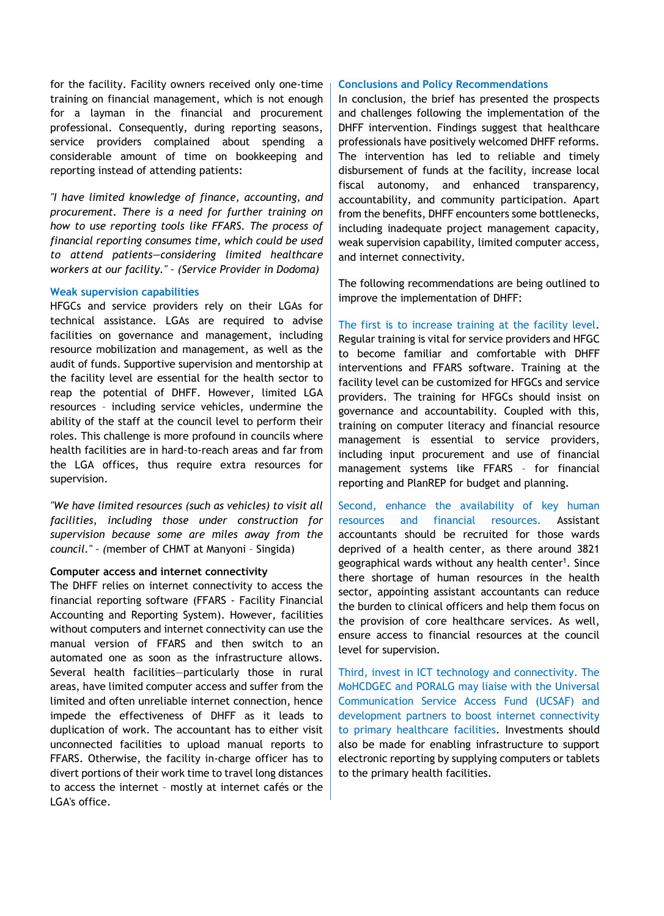for the facility. Facility owners received only one-time training on financial management, which is not enough for a layman in the financial and procurement professional. Consequently, during reporting seasons, service providers complained about spending a considerable amount of time on bookkeeping and reporting instead of attending patients:

*"I have limited knowledge of finance, accounting, and procurement. There is a need for further training on how to use reporting tools like FFARS. The process of financial reporting consumes time, which could be used to attend patients—considering limited healthcare workers at our facility." – (Service Provider in Dodoma)*

#### **Weak supervision capabilities**

HFGCs and service providers rely on their LGAs for technical assistance. LGAs are required to advise facilities on governance and management, including resource mobilization and management, as well as the audit of funds. Supportive supervision and mentorship at the facility level are essential for the health sector to reap the potential of DHFF. However, limited LGA resources – including service vehicles, undermine the ability of the staff at the council level to perform their roles. This challenge is more profound in councils where health facilities are in hard-to-reach areas and far from the LGA offices, thus require extra resources for supervision.

*"We have limited resources (such as vehicles) to visit all facilities, including those under construction for supervision because some are miles away from the council." – (*member of CHMT at Manyoni – Singida)

### **Computer access and internet connectivity**

The DHFF relies on internet connectivity to access the financial reporting software (FFARS - Facility Financial Accounting and Reporting System). However, facilities without computers and internet connectivity can use the manual version of FFARS and then switch to an automated one as soon as the infrastructure allows. Several health facilities—particularly those in rural areas, have limited computer access and suffer from the limited and often unreliable internet connection, hence impede the effectiveness of DHFF as it leads to duplication of work. The accountant has to either visit unconnected facilities to upload manual reports to FFARS. Otherwise, the facility in-charge officer has to divert portions of their work time to travel long distances to access the internet – mostly at internet cafés or the LGA's office.

#### **Conclusions and Policy Recommendations**

In conclusion, the brief has presented the prospects and challenges following the implementation of the DHFF intervention. Findings suggest that healthcare professionals have positively welcomed DHFF reforms. The intervention has led to reliable and timely disbursement of funds at the facility, increase local fiscal autonomy, and enhanced transparency, accountability, and community participation. Apart from the benefits, DHFF encounters some bottlenecks, including inadequate project management capacity, weak supervision capability, limited computer access, and internet connectivity.

The following recommendations are being outlined to improve the implementation of DHFF:

The first is to increase training at the facility level. Regular training is vital for service providers and HFGC to become familiar and comfortable with DHFF interventions and FFARS software. Training at the facility level can be customized for HFGCs and service providers. The training for HFGCs should insist on governance and accountability. Coupled with this, training on computer literacy and financial resource management is essential to service providers, including input procurement and use of financial management systems like FFARS – for financial reporting and PlanREP for budget and planning.

Second, enhance the availability of key human resources and financial resources. Assistant accountants should be recruited for those wards deprived of a health center, as there around 3821 geographical wards without any health center<sup>1</sup>. Since there shortage of human resources in the health sector, appointing assistant accountants can reduce the burden to clinical officers and help them focus on the provision of core healthcare services. As well, ensure access to financial resources at the council level for supervision.

Third, invest in ICT technology and connectivity. The MoHCDGEC and PORALG may liaise with the Universal Communication Service Access Fund (UCSAF) and development partners to boost internet connectivity to primary healthcare facilities. Investments should also be made for enabling infrastructure to support electronic reporting by supplying computers or tablets to the primary health facilities.